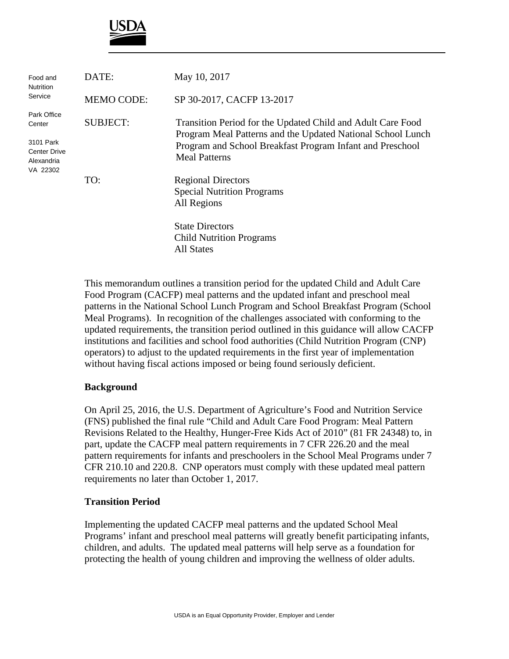

| Food and<br>Nutrition<br>Service                           | DATE:             | May 10, 2017                                                                                                               |
|------------------------------------------------------------|-------------------|----------------------------------------------------------------------------------------------------------------------------|
|                                                            | <b>MEMO CODE:</b> | SP 30-2017, CACFP 13-2017                                                                                                  |
| Park Office<br>Center                                      | <b>SUBJECT:</b>   | Transition Period for the Updated Child and Adult Care Food<br>Program Meal Patterns and the Updated National School Lunch |
| 3101 Park<br><b>Center Drive</b><br>Alexandria<br>VA 22302 |                   | Program and School Breakfast Program Infant and Preschool<br><b>Meal Patterns</b>                                          |
|                                                            | TO:               | <b>Regional Directors</b><br><b>Special Nutrition Programs</b><br>All Regions                                              |
|                                                            |                   | <b>State Directors</b><br><b>Child Nutrition Programs</b><br><b>All States</b>                                             |

This memorandum outlines a transition period for the updated Child and Adult Care Food Program (CACFP) meal patterns and the updated infant and preschool meal patterns in the National School Lunch Program and School Breakfast Program (School Meal Programs). In recognition of the challenges associated with conforming to the updated requirements, the transition period outlined in this guidance will allow CACFP institutions and facilities and school food authorities (Child Nutrition Program (CNP) operators) to adjust to the updated requirements in the first year of implementation without having fiscal actions imposed or being found seriously deficient.

## **Background**

On April 25, 2016, the U.S. Department of Agriculture's Food and Nutrition Service (FNS) published the final rule "Child and Adult Care Food Program: Meal Pattern Revisions Related to the Healthy, Hunger-Free Kids Act of 2010" (81 FR 24348) to, in part, update the CACFP meal pattern requirements in 7 CFR 226.20 and the meal pattern requirements for infants and preschoolers in the School Meal Programs under 7 CFR 210.10 and 220.8. CNP operators must comply with these updated meal pattern requirements no later than October 1, 2017.

## **Transition Period**

Implementing the updated CACFP meal patterns and the updated School Meal Programs' infant and preschool meal patterns will greatly benefit participating infants, children, and adults. The updated meal patterns will help serve as a foundation for protecting the health of young children and improving the wellness of older adults.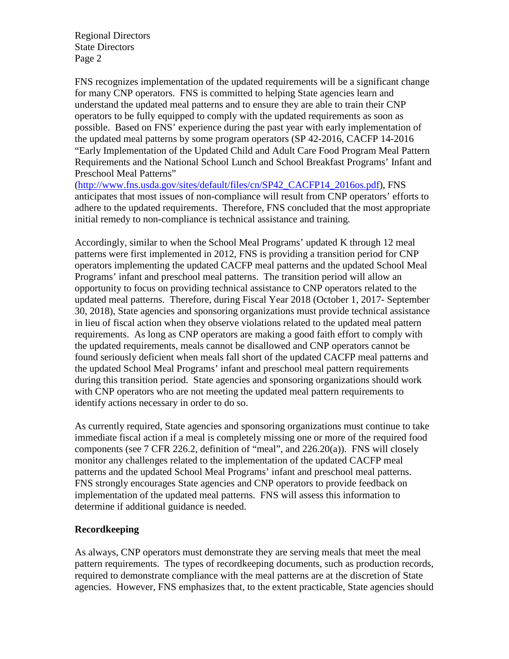Regional Directors State Directors Page 2

FNS recognizes implementation of the updated requirements will be a significant change for many CNP operators. FNS is committed to helping State agencies learn and understand the updated meal patterns and to ensure they are able to train their CNP operators to be fully equipped to comply with the updated requirements as soon as possible. Based on FNS' experience during the past year with early implementation of the updated meal patterns by some program operators (SP 42-2016, CACFP 14-2016 "Early Implementation of the Updated Child and Adult Care Food Program Meal Pattern Requirements and the National School Lunch and School Breakfast Programs' Infant and Preschool Meal Patterns"

[\(http://www.fns.usda.gov/sites/default/files/cn/SP42\\_CACFP14\\_2016os.pdf\)](http://www.fns.usda.gov/sites/default/files/cn/SP42_CACFP14_2016os.pdf), FNS anticipates that most issues of non-compliance will result from CNP operators' efforts to adhere to the updated requirements. Therefore, FNS concluded that the most appropriate initial remedy to non-compliance is technical assistance and training.

Accordingly, similar to when the School Meal Programs' updated K through 12 meal patterns were first implemented in 2012, FNS is providing a transition period for CNP operators implementing the updated CACFP meal patterns and the updated School Meal Programs' infant and preschool meal patterns. The transition period will allow an opportunity to focus on providing technical assistance to CNP operators related to the updated meal patterns. Therefore, during Fiscal Year 2018 (October 1, 2017- September 30, 2018), State agencies and sponsoring organizations must provide technical assistance in lieu of fiscal action when they observe violations related to the updated meal pattern requirements. As long as CNP operators are making a good faith effort to comply with the updated requirements, meals cannot be disallowed and CNP operators cannot be found seriously deficient when meals fall short of the updated CACFP meal patterns and the updated School Meal Programs' infant and preschool meal pattern requirements during this transition period. State agencies and sponsoring organizations should work with CNP operators who are not meeting the updated meal pattern requirements to identify actions necessary in order to do so.

As currently required, State agencies and sponsoring organizations must continue to take immediate fiscal action if a meal is completely missing one or more of the required food components (see 7 CFR 226.2, definition of "meal", and 226.20(a)). FNS will closely monitor any challenges related to the implementation of the updated CACFP meal patterns and the updated School Meal Programs' infant and preschool meal patterns. FNS strongly encourages State agencies and CNP operators to provide feedback on implementation of the updated meal patterns. FNS will assess this information to determine if additional guidance is needed.

## **Recordkeeping**

As always, CNP operators must demonstrate they are serving meals that meet the meal pattern requirements. The types of recordkeeping documents, such as production records, required to demonstrate compliance with the meal patterns are at the discretion of State agencies. However, FNS emphasizes that, to the extent practicable, State agencies should